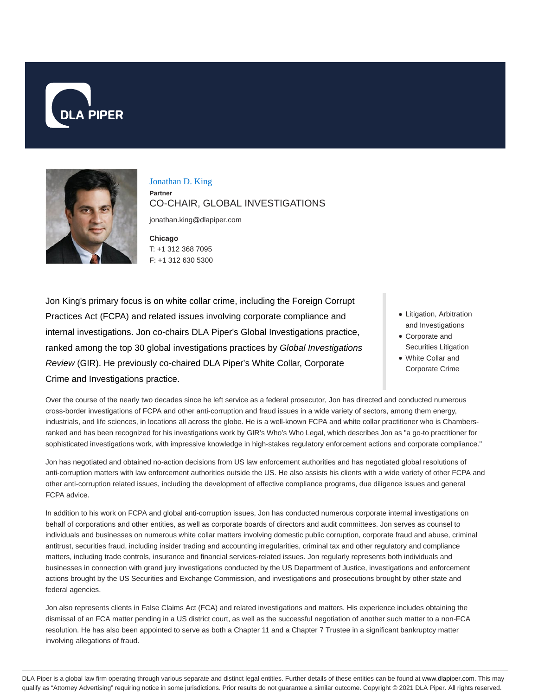



Jonathan D. King **Partner** CO-CHAIR, GLOBAL INVESTIGATIONS

jonathan.king@dlapiper.com

**Chicago** T: +1 312 368 7095 F: +1 312 630 5300

Jon King's primary focus is on white collar crime, including the Foreign Corrupt Practices Act (FCPA) and related issues involving corporate compliance and internal investigations. Jon co-chairs DLA Piper's Global Investigations practice, ranked among the top 30 global investigations practices by Global Investigations Review (GIR). He previously co-chaired DLA Piper's White Collar, Corporate Crime and Investigations practice.

- Litigation, Arbitration and Investigations
- Corporate and Securities Litigation
- White Collar and Corporate Crime

Over the course of the nearly two decades since he left service as a federal prosecutor, Jon has directed and conducted numerous cross-border investigations of FCPA and other anti-corruption and fraud issues in a wide variety of sectors, among them energy, industrials, and life sciences, in locations all across the globe. He is a well-known FCPA and white collar practitioner who is Chambersranked and has been recognized for his investigations work by GIR's Who's Who Legal, which describes Jon as "a go-to practitioner for sophisticated investigations work, with impressive knowledge in high-stakes regulatory enforcement actions and corporate compliance."

Jon has negotiated and obtained no-action decisions from US law enforcement authorities and has negotiated global resolutions of anti-corruption matters with law enforcement authorities outside the US. He also assists his clients with a wide variety of other FCPA and other anti-corruption related issues, including the development of effective compliance programs, due diligence issues and general FCPA advice.

In addition to his work on FCPA and global anti-corruption issues, Jon has conducted numerous corporate internal investigations on behalf of corporations and other entities, as well as corporate boards of directors and audit committees. Jon serves as counsel to individuals and businesses on numerous white collar matters involving domestic public corruption, corporate fraud and abuse, criminal antitrust, securities fraud, including insider trading and accounting irregularities, criminal tax and other regulatory and compliance matters, including trade controls, insurance and financial services-related issues. Jon regularly represents both individuals and businesses in connection with grand jury investigations conducted by the US Department of Justice, investigations and enforcement actions brought by the US Securities and Exchange Commission, and investigations and prosecutions brought by other state and federal agencies.

Jon also represents clients in False Claims Act (FCA) and related investigations and matters. His experience includes obtaining the dismissal of an FCA matter pending in a US district court, as well as the successful negotiation of another such matter to a non-FCA resolution. He has also been appointed to serve as both a Chapter 11 and a Chapter 7 Trustee in a significant bankruptcy matter involving allegations of fraud.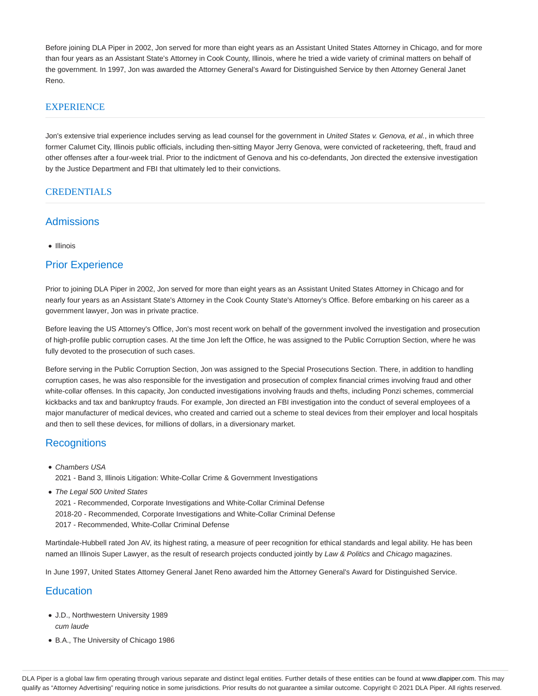Before joining DLA Piper in 2002, Jon served for more than eight years as an Assistant United States Attorney in Chicago, and for more than four years as an Assistant State's Attorney in Cook County, Illinois, where he tried a wide variety of criminal matters on behalf of the government. In 1997, Jon was awarded the Attorney General's Award for Distinguished Service by then Attorney General Janet Reno.

## **EXPERIENCE**

Jon's extensive trial experience includes serving as lead counsel for the government in United States v. Genova, et al., in which three former Calumet City, Illinois public officials, including then-sitting Mayor Jerry Genova, were convicted of racketeering, theft, fraud and other offenses after a four-week trial. Prior to the indictment of Genova and his co-defendants, Jon directed the extensive investigation by the Justice Department and FBI that ultimately led to their convictions.

#### CREDENTIALS

## **Admissions**

• Illinois

# Prior Experience

Prior to joining DLA Piper in 2002, Jon served for more than eight years as an Assistant United States Attorney in Chicago and for nearly four years as an Assistant State's Attorney in the Cook County State's Attorney's Office. Before embarking on his career as a government lawyer, Jon was in private practice.

Before leaving the US Attorney's Office, Jon's most recent work on behalf of the government involved the investigation and prosecution of high-profile public corruption cases. At the time Jon left the Office, he was assigned to the Public Corruption Section, where he was fully devoted to the prosecution of such cases.

Before serving in the Public Corruption Section, Jon was assigned to the Special Prosecutions Section. There, in addition to handling corruption cases, he was also responsible for the investigation and prosecution of complex financial crimes involving fraud and other white-collar offenses. In this capacity, Jon conducted investigations involving frauds and thefts, including Ponzi schemes, commercial kickbacks and tax and bankruptcy frauds. For example, Jon directed an FBI investigation into the conduct of several employees of a major manufacturer of medical devices, who created and carried out a scheme to steal devices from their employer and local hospitals and then to sell these devices, for millions of dollars, in a diversionary market.

## **Recognitions**

- Chambers USA
	- 2021 Band 3, Illinois Litigation: White-Collar Crime & Government Investigations
- The Legal 500 United States

2021 - Recommended, Corporate Investigations and White-Collar Criminal Defense 2018-20 - Recommended, Corporate Investigations and White-Collar Criminal Defense 2017 - Recommended, White-Collar Criminal Defense

Martindale-Hubbell rated Jon AV, its highest rating, a measure of peer recognition for ethical standards and legal ability. He has been named an Illinois Super Lawyer, as the result of research projects conducted jointly by Law & Politics and Chicago magazines.

In June 1997, United States Attorney General Janet Reno awarded him the Attorney General's Award for Distinguished Service.

## **Education**

- J.D., Northwestern University 1989 cum laude
- B.A., The University of Chicago 1986